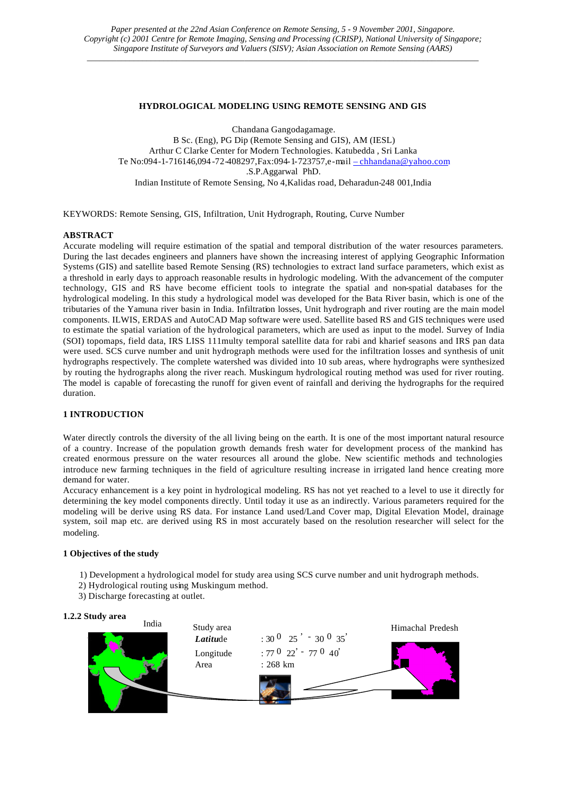## **HYDROLOGICAL MODELING USING REMOTE SENSING AND GIS**

Chandana Gangodagamage. B Sc. (Eng), PG Dip (Remote Sensing and GIS), AM (IESL) Arthur C Clarke Center for Modern Technologies. Katubedda , Sri Lanka Te No:094-1-716146,094 -72-408297,Fax:094-1-723757,e-mail – chhandana@yahoo.com .S.P.Aggarwal PhD. Indian Institute of Remote Sensing, No 4,Kalidas road, Deharadun-248 001,India

KEYWORDS: Remote Sensing, GIS, Infiltration, Unit Hydrograph, Routing, Curve Number

# **ABSTRACT**

Accurate modeling will require estimation of the spatial and temporal distribution of the water resources parameters. During the last decades engineers and planners have shown the increasing interest of applying Geographic Information Systems (GIS) and satellite based Remote Sensing (RS) technologies to extract land surface parameters, which exist as a threshold in early days to approach reasonable results in hydrologic modeling. With the advancement of the computer technology, GIS and RS have become efficient tools to integrate the spatial and non-spatial databases for the hydrological modeling. In this study a hydrological model was developed for the Bata River basin, which is one of the tributaries of the Yamuna river basin in India. Infiltration losses, Unit hydrograph and river routing are the main model components. ILWIS, ERDAS and AutoCAD Map software were used. Satellite based RS and GIS techniques were used to estimate the spatial variation of the hydrological parameters, which are used as input to the model. Survey of India (SOI) topomaps, field data, IRS LISS 111multy temporal satellite data for rabi and kharief seasons and IRS pan data were used. SCS curve number and unit hydrograph methods were used for the infiltration losses and synthesis of unit hydrographs respectively. The complete watershed was divided into 10 sub areas, where hydrographs were synthesized by routing the hydrographs along the river reach. Muskingum hydrological routing method was used for river routing. The model is capable of forecasting the runoff for given event of rainfall and deriving the hydrographs for the required duration.

## **1 INTRODUCTION**

Water directly controls the diversity of the all living being on the earth. It is one of the most important natural resource of a country. Increase of the population growth demands fresh water for development process of the mankind has created enormous pressure on the water resources all around the globe. New scientific methods and technologies introduce new farming techniques in the field of agriculture resulting increase in irrigated land hence creating more demand for water.

Accuracy enhancement is a key point in hydrological modeling. RS has not yet reached to a level to use it directly for determining the key model components directly. Until today it use as an indirectly. Various parameters required for the modeling will be derive using RS data. For instance Land used/Land Cover map, Digital Elevation Model, drainage system, soil map etc. are derived using RS in most accurately based on the resolution researcher will select for the modeling.

## **1 Objectives of the study**

1) Development a hydrological model for study area using SCS curve number and unit hydrograph methods.

l

- 2) Hydrological routing using Muskingum method.
- 3) Discharge forecasting at outlet.

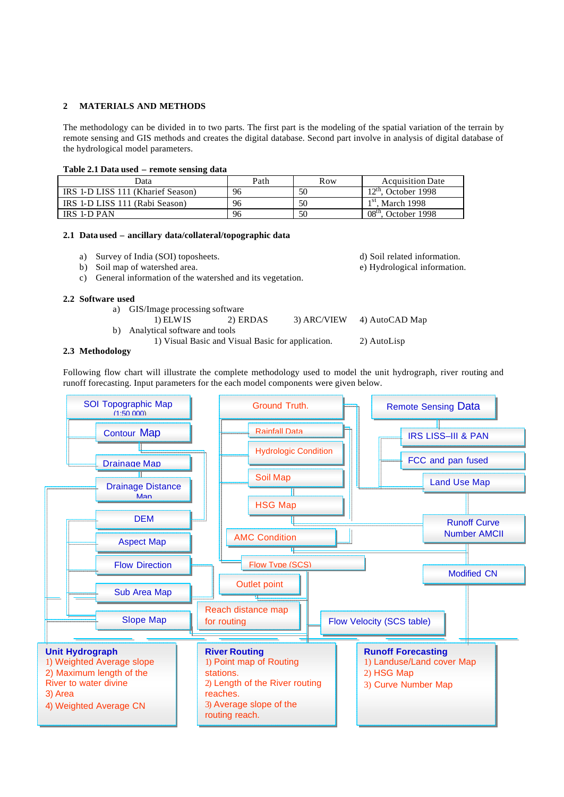## **2 MATERIALS AND METHODS**

The methodology can be divided in to two parts. The first part is the modeling of the spatial variation of the terrain by remote sensing and GIS methods and creates the digital database. Second part involve in analysis of digital database of the hydrological model parameters.

### **Table 2.1 Data used – remote sensing data**

| Data                              | Path | Row | <b>Acquisition Date</b>  |
|-----------------------------------|------|-----|--------------------------|
| IRS 1-D LISS 111 (Kharief Season) | 96   | 50  | 12th<br>October 1998     |
| IRS 1-D LISS 111 (Rabi Season)    | 96   | 50  | $1st$ , March 1998       |
| IRS 1-D PAN                       | 96   | 50  | $08th$ .<br>October 1998 |

# **2.1 Data used – ancillary data/collateral/topographic data**

- a) Survey of India (SOI) toposheets. d) Soil related information.
- 
- c) General information of the watershed and its vegetation.

#### **2.2 Software used**

- a) GIS/Image processing software
- 1) ELWIS 2) ERDAS 3) ARC/VIEW 4) AutoCAD Map b) Analytical software and tools
	- 1) Visual Basic and Visual Basic for application. 2) AutoLisp

#### **2.3 Methodology**

Following flow chart will illustrate the complete methodology used to model the unit hydrograph, river routing and runoff forecasting. Input parameters for the each model components were given below.



- 
- b) Soil map of watershed area. e) Hydrological information.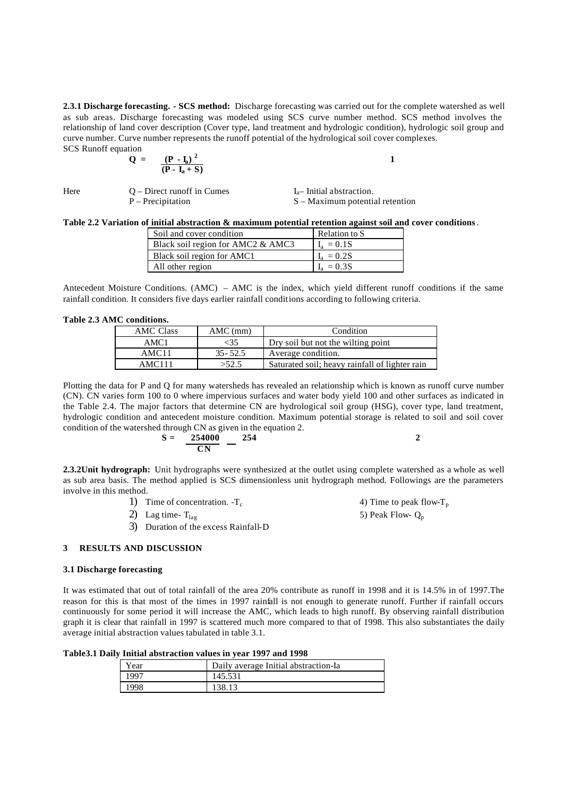**2.3.1 Discharge forecasting. - SCS method:** Discharge forecasting was carried out for the complete watershed as well as sub areas. Discharge forecasting was modeled using SCS curve number method. SCS method involves the relationship of land cover description (Cover type, land treatment and hydrologic condition), hydrologic soil group and curve number. Curve number represents the runoff potential of the hydrological soil cover complexes. SCS Runoff equation

$$
Q = \frac{(P - I_a)^2}{(P - I_a + S)}
$$

| Here | $O$ – Direct runoff in Cumes | $I_{a}$ – Initial abstraction. |
|------|------------------------------|--------------------------------|
|      | $P - Precription$            | $S -$ Maximum potenti          |

Maximum potential retention

**Table 2.2 Variation of initial abstraction & maximum potential retention against soil and cover conditions**.

| Soil and cover condition          | Relation to S |
|-----------------------------------|---------------|
| Black soil region for AMC2 & AMC3 | $I_a = 0.1S$  |
| Black soil region for AMC1        | $L = 0.2S$    |
| All other region                  | $I_a = 0.3S$  |

Antecedent Moisture Conditions. (AMC) – AMC is the index, which yield different runoff conditions if the same rainfall condition. It considers five days earlier rainfall conditions according to following criteria.

**Table 2.3 AMC conditions.**

| <b>AMC Class</b> | $AMC$ (mm)  | Condition                                      |
|------------------|-------------|------------------------------------------------|
| AMC1             | <35         | Dry soil but not the wilting point             |
| AMC11            | $35 - 52.5$ | Average condition.                             |
| AMC111           | >52.5       | Saturated soil; heavy rainfall of lighter rain |
|                  |             |                                                |

Plotting the data for P and Q for many watersheds has revealed an relationship which is known as runoff curve number (CN). CN varies form 100 to 0 where impervious surfaces and water body yield 100 and other surfaces as indicated in the Table 2.4. The major factors that determine CN are hydrological soil group (HSG), cover type, land treatment, hydrologic condition and antecedent moisture condition. Maximum potential storage is related to soil and soil cover condition of the watershed through CN as given in the equation 2.

$$
S = \frac{254000}{CN} - \frac{254}{254}
$$

**2.3.2Unit hydrograph:** Unit hydrographs were synthesized at the outlet using complete watershed as a whole as well as sub area basis. The method applied is SCS dimensionless unit hydrograph method. Followings are the parameters involve in this method.

- 1) Time of concentration.  $-T_c$  4) Time to peak flow-T<sub>p</sub>
- 
- 3) Duration of the excess Rainfall-D

2) Lag time-  $T_{\text{lag}}$  5) Peak Flow-  $Q_p$ 

# **3 RESULTS AND DISCUSSION**

#### **3.1 Discharge forecasting**

It was estimated that out of total rainfall of the area 20% contribute as runoff in 1998 and it is 14.5% in of 1997.The reason for this is that most of the times in 1997 rainfall is not enough to generate runoff. Further if rainfall occurs continuously for some period it will increase the AMC, which leads to high runoff. By observing rainfall distribution graph it is clear that rainfall in 1997 is scattered much more compared to that of 1998. This also substantiates the daily average initial abstraction values tabulated in table 3.1.

**Table3.1 Daily Initial abstraction values in year 1997 and 1998**

| ear  | Daily average Initial abstraction-Ia |
|------|--------------------------------------|
| 00″، |                                      |
|      |                                      |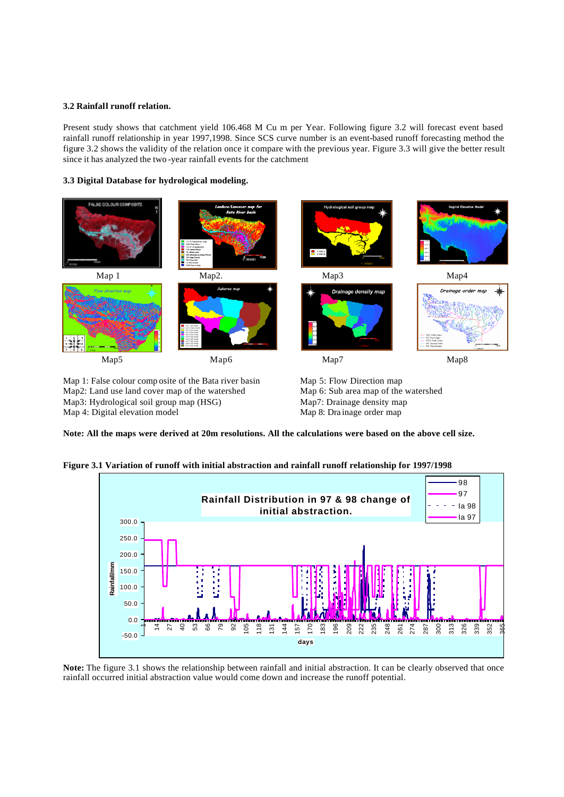## **3.2 Rainfall runoff relation.**

Present study shows that catchment yield 106.468 M Cu m per Year. Following figure 3.2 will forecast event based rainfall runoff relationship in year 1997,1998. Since SCS curve number is an event-based runoff forecasting method the figure 3.2 shows the validity of the relation once it compare with the previous year. Figure 3.3 will give the better result since it has analyzed the two -year rainfall events for the catchment

# **3.3 Digital Database for hydrological modeling.**



Map 1: False colour comp osite of the Bata river basin Map2: Land use land cover map of the watershed Map3: Hydrological soil group map (HSG) Map 4: Digital elevation model

Map 5: Flow Direction map Map 6: Sub area map of the watershed Map7: Drainage density map Map 8: Dra inage order map

**Note: All the maps were derived at 20m resolutions. All the calculations were based on the above cell size.**

# **Figure 3.1 Variation of runoff with initial abstraction and rainfall runoff relationship for 1997/1998**



**Note:** The figure 3.1 shows the relationship between rainfall and initial abstraction. It can be clearly observed that once rainfall occurred initial abstraction value would come down and increase the runoff potential.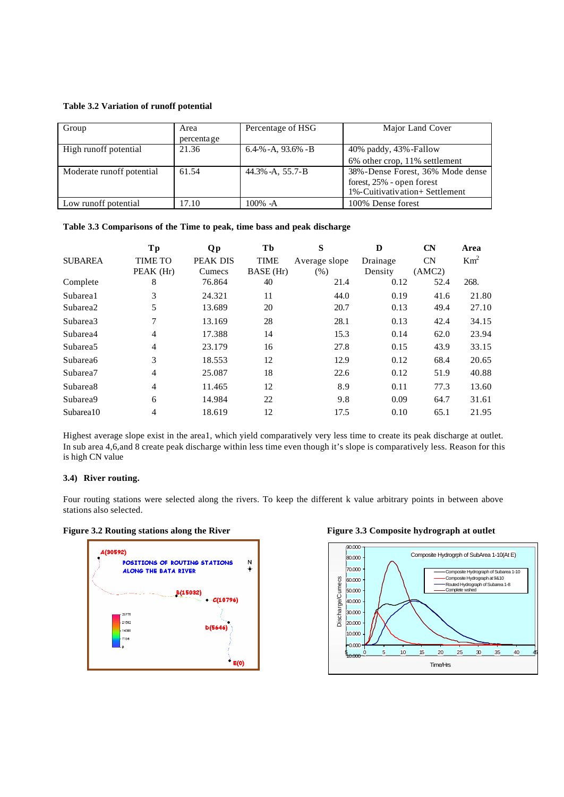#### **Table 3.2 Variation of runoff potential**

| Group                     | Area       | Percentage of HSG    | Major Land Cover                 |
|---------------------------|------------|----------------------|----------------------------------|
|                           | percentage |                      |                                  |
| High runoff potential     | 21.36      | $6.4\%$ -A, 93.6% -B | 40% paddy, 43% - Fallow          |
|                           |            |                      | 6% other crop, 11% settlement    |
| Moderate runoff potential | 61.54      | $44.3\% -A$ , 55.7-B | 38%-Dense Forest, 36% Mode dense |
|                           |            |                      | forest, 25% - open forest        |
|                           |            |                      | 1%-Cuitivativation+ Settlement   |
| Low runoff potential      | 17.10      | 100% -A              | 100% Dense forest                |

## **Table 3.3 Comparisons of the Time to peak, time bass and peak discharge**

|                      | Tp             | <b>Qp</b>       | Tb          | S             | D        | <b>CN</b> | Area            |
|----------------------|----------------|-----------------|-------------|---------------|----------|-----------|-----------------|
| <b>SUBAREA</b>       | <b>TIME TO</b> | <b>PEAK DIS</b> | <b>TIME</b> | Average slope | Drainage | CN        | Km <sup>2</sup> |
|                      | PEAK (Hr)      | Cumecs          | BASE (Hr)   | (% )          | Density  | (AMC2)    |                 |
| Complete             | 8              | 76.864          | 40          | 21.4          | 0.12     | 52.4      | 268.            |
| Subarea1             | 3              | 24.321          | 11          | 44.0          | 0.19     | 41.6      | 21.80           |
| Subarea2             | 5              | 13.689          | 20          | 20.7          | 0.13     | 49.4      | 27.10           |
| Subarea3             | 7              | 13.169          | 28          | 28.1          | 0.13     | 42.4      | 34.15           |
| Subarea4             | 4              | 17.388          | 14          | 15.3          | 0.14     | 62.0      | 23.94           |
| Subarea <sub>5</sub> | $\overline{4}$ | 23.179          | 16          | 27.8          | 0.15     | 43.9      | 33.15           |
| Subarea6             | 3              | 18.553          | 12          | 12.9          | 0.12     | 68.4      | 20.65           |
| Subarea7             | $\overline{4}$ | 25.087          | 18          | 22.6          | 0.12     | 51.9      | 40.88           |
| Subarea <sub>8</sub> | $\overline{4}$ | 11.465          | 12          | 8.9           | 0.11     | 77.3      | 13.60           |
| Subarea9             | 6              | 14.984          | 22          | 9.8           | 0.09     | 64.7      | 31.61           |
| Subarea10            | 4              | 18.619          | 12          | 17.5          | 0.10     | 65.1      | 21.95           |

Highest average slope exist in the area1, which yield comparatively very less time to create its peak discharge at outlet. In sub area 4,6,and 8 create peak discharge within less time even though it's slope is comparatively less. Reason for this is high CN value

## **3.4) River routing.**

Four routing stations were selected along the rivers. To keep the different k value arbitrary points in between above stations also selected.



Figure 3.2 Routing stations along the River Figure 3.3 Composite hydrograph at outlet